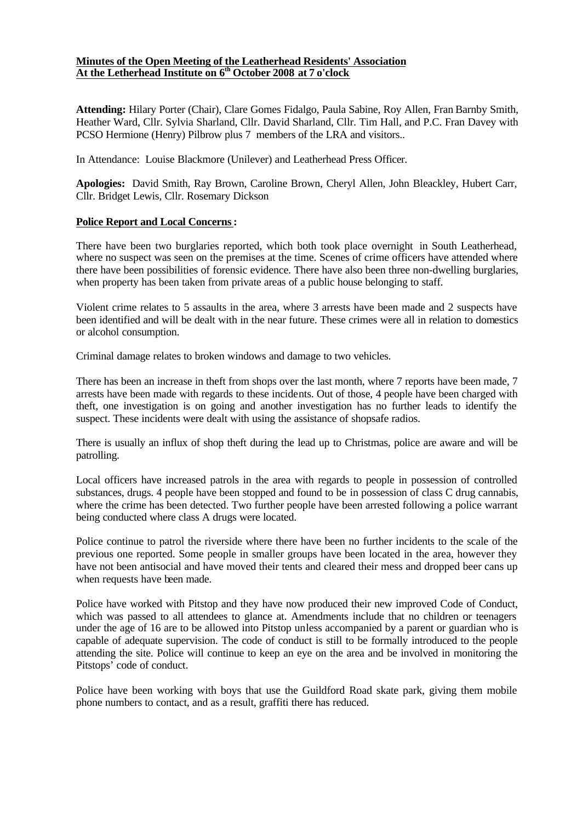### **Minutes of the Open Meeting of the Leatherhead Residents' Association At the Letherhead Institute on 6th October 2008 at 7 o'clock**

**Attending:** Hilary Porter (Chair), Clare Gomes Fidalgo, Paula Sabine, Roy Allen, Fran Barnby Smith, Heather Ward, Cllr. Sylvia Sharland, Cllr. David Sharland, Cllr. Tim Hall, and P.C. Fran Davey with PCSO Hermione (Henry) Pilbrow plus 7 members of the LRA and visitors..

In Attendance: Louise Blackmore (Unilever) and Leatherhead Press Officer.

**Apologies:** David Smith, Ray Brown, Caroline Brown, Cheryl Allen, John Bleackley, Hubert Carr, Cllr. Bridget Lewis, Cllr. Rosemary Dickson

### **Police Report and Local Concerns:**

There have been two burglaries reported, which both took place overnight in South Leatherhead, where no suspect was seen on the premises at the time. Scenes of crime officers have attended where there have been possibilities of forensic evidence. There have also been three non-dwelling burglaries, when property has been taken from private areas of a public house belonging to staff.

Violent crime relates to 5 assaults in the area, where 3 arrests have been made and 2 suspects have been identified and will be dealt with in the near future. These crimes were all in relation to domestics or alcohol consumption.

Criminal damage relates to broken windows and damage to two vehicles.

There has been an increase in theft from shops over the last month, where 7 reports have been made, 7 arrests have been made with regards to these incidents. Out of those, 4 people have been charged with theft, one investigation is on going and another investigation has no further leads to identify the suspect. These incidents were dealt with using the assistance of shopsafe radios.

There is usually an influx of shop theft during the lead up to Christmas, police are aware and will be patrolling.

Local officers have increased patrols in the area with regards to people in possession of controlled substances, drugs. 4 people have been stopped and found to be in possession of class C drug cannabis, where the crime has been detected. Two further people have been arrested following a police warrant being conducted where class A drugs were located.

Police continue to patrol the riverside where there have been no further incidents to the scale of the previous one reported. Some people in smaller groups have been located in the area, however they have not been antisocial and have moved their tents and cleared their mess and dropped beer cans up when requests have been made.

Police have worked with Pitstop and they have now produced their new improved Code of Conduct, which was passed to all attendees to glance at. Amendments include that no children or teenagers under the age of 16 are to be allowed into Pitstop unless accompanied by a parent or guardian who is capable of adequate supervision. The code of conduct is still to be formally introduced to the people attending the site. Police will continue to keep an eye on the area and be involved in monitoring the Pitstops' code of conduct.

Police have been working with boys that use the Guildford Road skate park, giving them mobile phone numbers to contact, and as a result, graffiti there has reduced.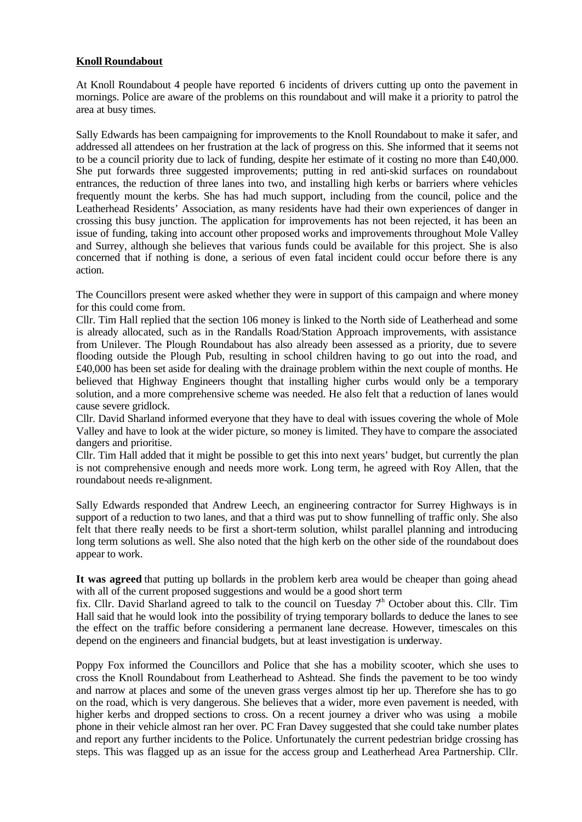### **Knoll Roundabout**

At Knoll Roundabout 4 people have reported 6 incidents of drivers cutting up onto the pavement in mornings. Police are aware of the problems on this roundabout and will make it a priority to patrol the area at busy times.

Sally Edwards has been campaigning for improvements to the Knoll Roundabout to make it safer, and addressed all attendees on her frustration at the lack of progress on this. She informed that it seems not to be a council priority due to lack of funding, despite her estimate of it costing no more than £40,000. She put forwards three suggested improvements; putting in red anti-skid surfaces on roundabout entrances, the reduction of three lanes into two, and installing high kerbs or barriers where vehicles frequently mount the kerbs. She has had much support, including from the council, police and the Leatherhead Residents' Association, as many residents have had their own experiences of danger in crossing this busy junction. The application for improvements has not been rejected, it has been an issue of funding, taking into account other proposed works and improvements throughout Mole Valley and Surrey, although she believes that various funds could be available for this project. She is also concerned that if nothing is done, a serious of even fatal incident could occur before there is any action.

The Councillors present were asked whether they were in support of this campaign and where money for this could come from.

Cllr. Tim Hall replied that the section 106 money is linked to the North side of Leatherhead and some is already allocated, such as in the Randalls Road/Station Approach improvements, with assistance from Unilever. The Plough Roundabout has also already been assessed as a priority, due to severe flooding outside the Plough Pub, resulting in school children having to go out into the road, and £40,000 has been set aside for dealing with the drainage problem within the next couple of months. He believed that Highway Engineers thought that installing higher curbs would only be a temporary solution, and a more comprehensive scheme was needed. He also felt that a reduction of lanes would cause severe gridlock.

Cllr. David Sharland informed everyone that they have to deal with issues covering the whole of Mole Valley and have to look at the wider picture, so money is limited. They have to compare the associated dangers and prioritise.

Cllr. Tim Hall added that it might be possible to get this into next years' budget, but currently the plan is not comprehensive enough and needs more work. Long term, he agreed with Roy Allen, that the roundabout needs re-alignment.

Sally Edwards responded that Andrew Leech, an engineering contractor for Surrey Highways is in support of a reduction to two lanes, and that a third was put to show funnelling of traffic only. She also felt that there really needs to be first a short-term solution, whilst parallel planning and introducing long term solutions as well. She also noted that the high kerb on the other side of the roundabout does appear to work.

**It was agreed** that putting up bollards in the problem kerb area would be cheaper than going ahead with all of the current proposed suggestions and would be a good short term

fix. Cllr. David Sharland agreed to talk to the council on Tuesday  $7<sup>h</sup>$  October about this. Cllr. Tim Hall said that he would look into the possibility of trying temporary bollards to deduce the lanes to see the effect on the traffic before considering a permanent lane decrease. However, timescales on this depend on the engineers and financial budgets, but at least investigation is underway.

Poppy Fox informed the Councillors and Police that she has a mobility scooter, which she uses to cross the Knoll Roundabout from Leatherhead to Ashtead. She finds the pavement to be too windy and narrow at places and some of the uneven grass verges almost tip her up. Therefore she has to go on the road, which is very dangerous. She believes that a wider, more even pavement is needed, with higher kerbs and dropped sections to cross. On a recent journey a driver who was using a mobile phone in their vehicle almost ran her over. PC Fran Davey suggested that she could take number plates and report any further incidents to the Police. Unfortunately the current pedestrian bridge crossing has steps. This was flagged up as an issue for the access group and Leatherhead Area Partnership. Cllr.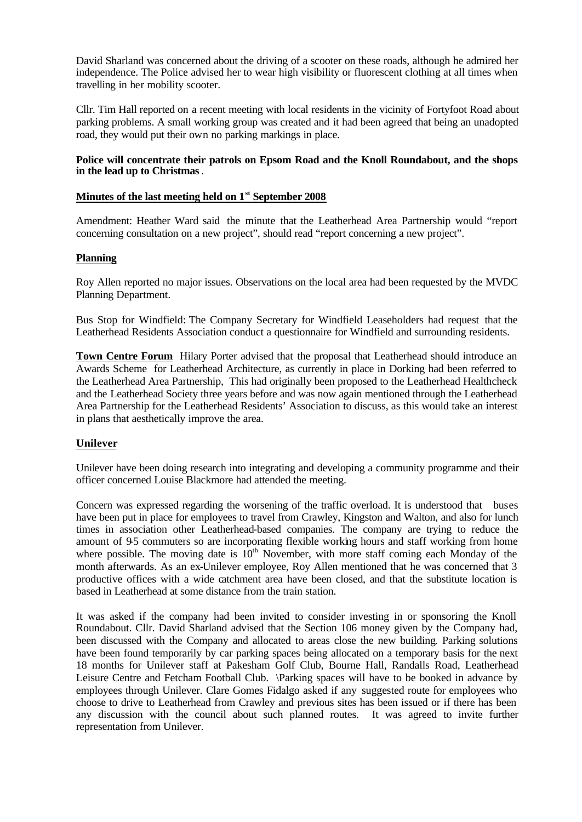David Sharland was concerned about the driving of a scooter on these roads, although he admired her independence. The Police advised her to wear high visibility or fluorescent clothing at all times when travelling in her mobility scooter.

Cllr. Tim Hall reported on a recent meeting with local residents in the vicinity of Fortyfoot Road about parking problems. A small working group was created and it had been agreed that being an unadopted road, they would put their own no parking markings in place.

### **Police will concentrate their patrols on Epsom Road and the Knoll Roundabout, and the shops in the lead up to Christmas**.

# **Minutes of the last meeting held on 1st September 2008**

Amendment: Heather Ward said the minute that the Leatherhead Area Partnership would "report concerning consultation on a new project", should read "report concerning a new project".

### **Planning**

Roy Allen reported no major issues. Observations on the local area had been requested by the MVDC Planning Department.

Bus Stop for Windfield: The Company Secretary for Windfield Leaseholders had request that the Leatherhead Residents Association conduct a questionnaire for Windfield and surrounding residents.

**Town Centre Forum** Hilary Porter advised that the proposal that Leatherhead should introduce an Awards Scheme for Leatherhead Architecture, as currently in place in Dorking had been referred to the Leatherhead Area Partnership, This had originally been proposed to the Leatherhead Healthcheck and the Leatherhead Society three years before and was now again mentioned through the Leatherhead Area Partnership for the Leatherhead Residents' Association to discuss, as this would take an interest in plans that aesthetically improve the area.

## **Unilever**

Unilever have been doing research into integrating and developing a community programme and their officer concerned Louise Blackmore had attended the meeting.

Concern was expressed regarding the worsening of the traffic overload. It is understood that buses have been put in place for employees to travel from Crawley, Kingston and Walton, and also for lunch times in association other Leatherhead-based companies. The company are trying to reduce the amount of 95 commuters so are incorporating flexible working hours and staff working from home where possible. The moving date is  $10<sup>th</sup>$  November, with more staff coming each Monday of the month afterwards. As an ex-Unilever employee, Roy Allen mentioned that he was concerned that 3 productive offices with a wide catchment area have been closed, and that the substitute location is based in Leatherhead at some distance from the train station.

It was asked if the company had been invited to consider investing in or sponsoring the Knoll Roundabout. Cllr. David Sharland advised that the Section 106 money given by the Company had, been discussed with the Company and allocated to areas close the new building. Parking solutions have been found temporarily by car parking spaces being allocated on a temporary basis for the next 18 months for Unilever staff at Pakesham Golf Club, Bourne Hall, Randalls Road, Leatherhead Leisure Centre and Fetcham Football Club. \Parking spaces will have to be booked in advance by employees through Unilever. Clare Gomes Fidalgo asked if any suggested route for employees who choose to drive to Leatherhead from Crawley and previous sites has been issued or if there has been any discussion with the council about such planned routes. It was agreed to invite further representation from Unilever.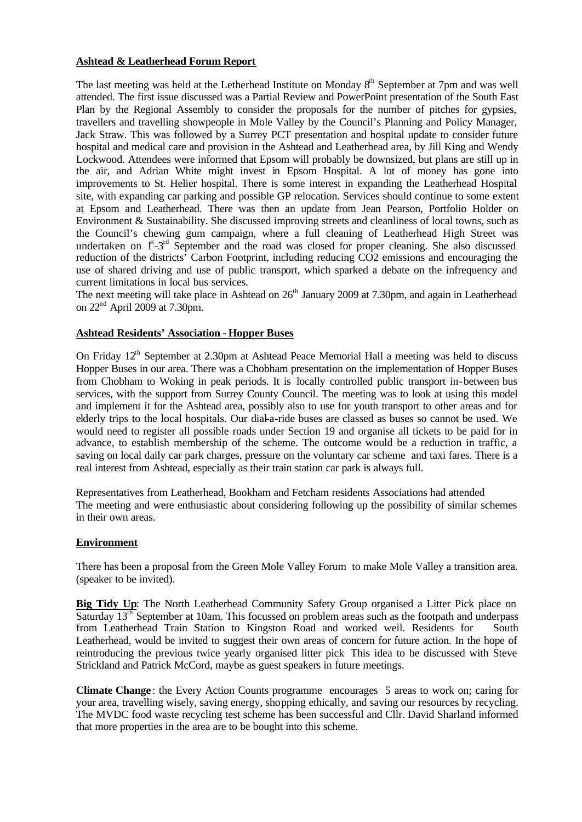### **Ashtead & Leatherhead Forum Report**

The last meeting was held at the Letherhead Institute on Monday 8<sup>th</sup> September at 7pm and was well attended. The first issue discussed was a Partial Review and PowerPoint presentation of the South East Plan by the Regional Assembly to consider the proposals for the number of pitches for gypsies, travellers and travelling showpeople in Mole Valley by the Council's Planning and Policy Manager, Jack Straw. This was followed by a Surrey PCT presentation and hospital update to consider future hospital and medical care and provision in the Ashtead and Leatherhead area, by Jill King and Wendy Lockwood. Attendees were informed that Epsom will probably be downsized, but plans are still up in the air, and Adrian White might invest in Epsom Hospital. A lot of money has gone into improvements to St. Helier hospital. There is some interest in expanding the Leatherhead Hospital site, with expanding car parking and possible GP relocation. Services should continue to some extent at Epsom and Leatherhead. There was then an update from Jean Pearson, Portfolio Holder on Environment & Sustainability. She discussed improving streets and cleanliness of local towns, such as the Council's chewing gum campaign, where a full cleaning of Leatherhead High Street was undertaken on f<sup>t</sup>-3<sup>rd</sup> September and the road was closed for proper cleaning. She also discussed reduction of the districts' Carbon Footprint, including reducing CO2 emissions and encouraging the use of shared driving and use of public transport, which sparked a debate on the infrequency and current limitations in local bus services.

The next meeting will take place in Ashtead on  $26<sup>th</sup>$  January 2009 at 7.30pm, and again in Leatherhead on 22nd April 2009 at 7.30pm.

### **Ashtead Residents' Association - Hopper Buses**

On Friday 12<sup>th</sup> September at 2.30pm at Ashtead Peace Memorial Hall a meeting was held to discuss Hopper Buses in our area. There was a Chobham presentation on the implementation of Hopper Buses from Chobham to Woking in peak periods. It is locally controlled public transport in-between bus services, with the support from Surrey County Council. The meeting was to look at using this model and implement it for the Ashtead area, possibly also to use for youth transport to other areas and for elderly trips to the local hospitals. Our dial-a-ride buses are classed as buses so cannot be used. We would need to register all possible roads under Section 19 and organise all tickets to be paid for in advance, to establish membership of the scheme. The outcome would be a reduction in traffic, a saving on local daily car park charges, pressure on the voluntary car scheme and taxi fares. There is a real interest from Ashtead, especially as their train station car park is always full.

Representatives from Leatherhead, Bookham and Fetcham residents Associations had attended The meeting and were enthusiastic about considering following up the possibility of similar schemes in their own areas.

### **Environment**

There has been a proposal from the Green Mole Valley Forum to make Mole Valley a transition area. (speaker to be invited).

**Big Tidy Up**: The North Leatherhead Community Safety Group organised a Litter Pick place on Saturday 13<sup>th</sup> September at 10am. This focussed on problem areas such as the footpath and underpass from Leatherhead Train Station to Kingston Road and worked well. Residents for South Leatherhead, would be invited to suggest their own areas of concern for future action. In the hope of reintroducing the previous twice yearly organised litter pick This idea to be discussed with Steve Strickland and Patrick McCord, maybe as guest speakers in future meetings.

**Climate Change** : the Every Action Counts programme encourages 5 areas to work on; caring for your area, travelling wisely, saving energy, shopping ethically, and saving our resources by recycling. The MVDC food waste recycling test scheme has been successful and Cllr. David Sharland informed that more properties in the area are to be bought into this scheme.